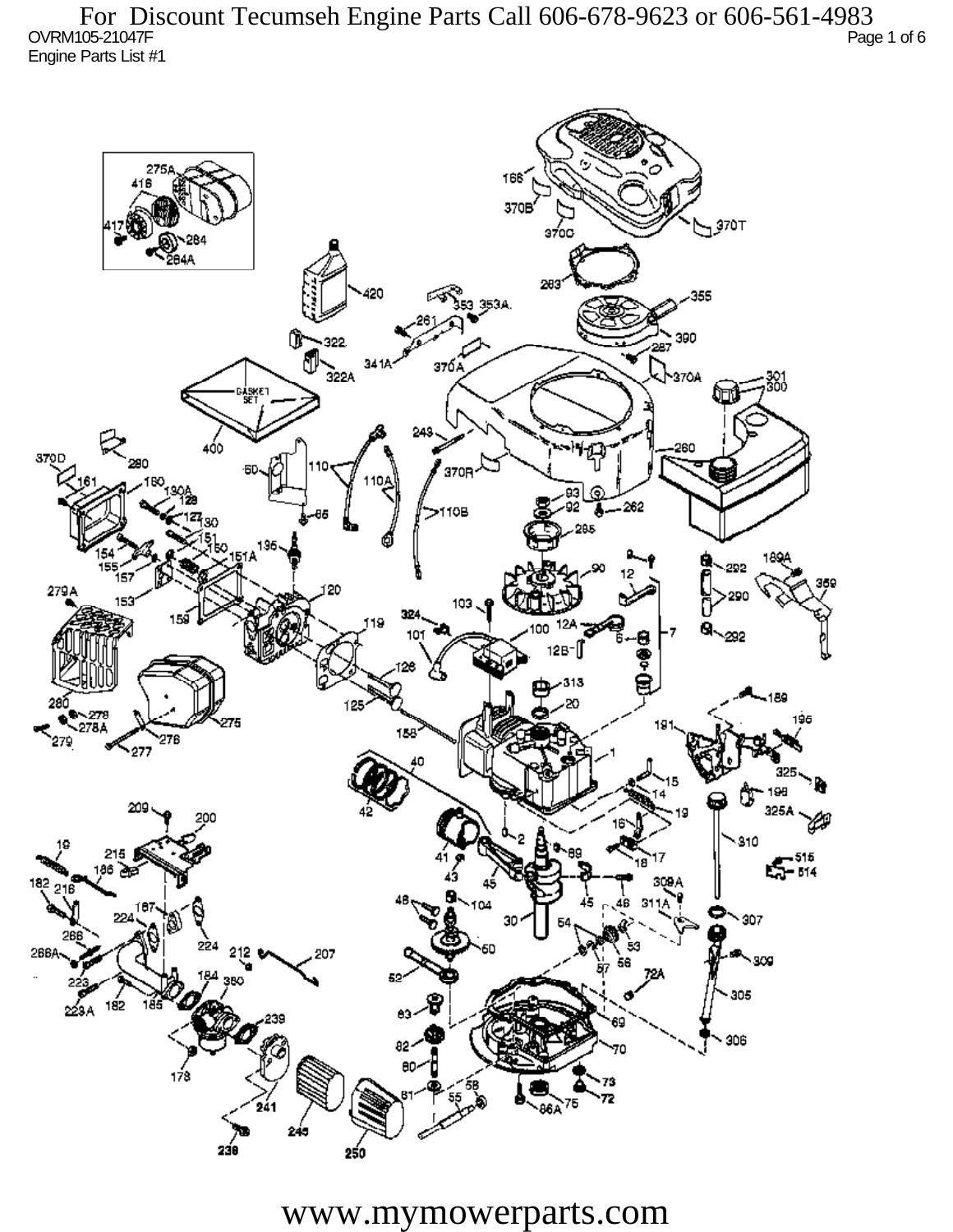OVRM105-21047F Page 1 of 6 Engine Parts List #1 For Discount Tecumseh Engine Parts Call 606-678-9623 or 606-561-4983



www.mymowerparts.com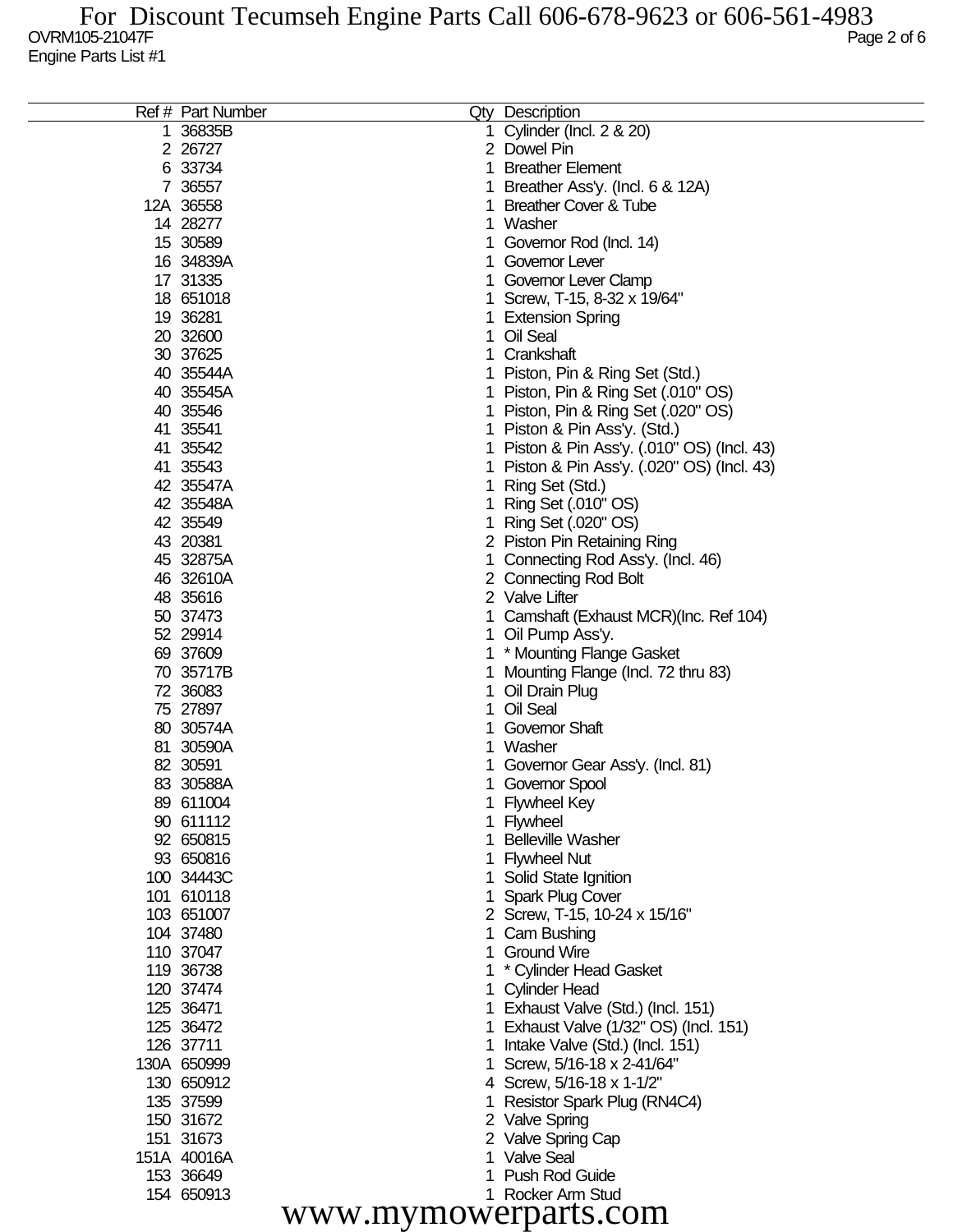|                      | Ref # Part Number |    | Qty Description                           |  |  |  |
|----------------------|-------------------|----|-------------------------------------------|--|--|--|
| 1                    | 36835B            |    | Cylinder (Incl. 2 & 20)                   |  |  |  |
|                      | 2 26727           |    | 2 Dowel Pin                               |  |  |  |
|                      | 6 33734           | 1. | <b>Breather Element</b>                   |  |  |  |
|                      | 7 36557           |    | Breather Ass'y. (Incl. 6 & 12A)           |  |  |  |
|                      | 12A 36558         |    | <b>Breather Cover &amp; Tube</b>          |  |  |  |
|                      | 14 28277          | 1. | Washer                                    |  |  |  |
|                      | 15 30589          |    | Governor Rod (Incl. 14)                   |  |  |  |
|                      | 16 34839A         |    | Governor Lever                            |  |  |  |
|                      | 17 31335          |    | Governor Lever Clamp                      |  |  |  |
|                      | 18 651018         |    | Screw, T-15, 8-32 x 19/64"                |  |  |  |
|                      | 19 36281          |    | <b>Extension Spring</b>                   |  |  |  |
|                      | 20 32600          | 1  | Oil Seal                                  |  |  |  |
|                      | 30 37625          |    | Crankshaft                                |  |  |  |
|                      | 40 35544A         |    | 1 Piston, Pin & Ring Set (Std.)           |  |  |  |
|                      | 40 35545A         |    | 1 Piston, Pin & Ring Set (.010" OS)       |  |  |  |
|                      | 40 35546          |    | 1 Piston, Pin & Ring Set (.020" OS)       |  |  |  |
|                      | 41 35541          | 1. | Piston & Pin Ass'y. (Std.)                |  |  |  |
|                      | 41 35542          |    |                                           |  |  |  |
|                      |                   | 1  | Piston & Pin Ass'y. (.010" OS) (Incl. 43) |  |  |  |
|                      | 41 35543          |    | Piston & Pin Ass'y. (.020" OS) (Incl. 43) |  |  |  |
|                      | 42 35547A         | 1  | Ring Set (Std.)                           |  |  |  |
|                      | 42 35548A         |    | Ring Set (.010" OS)                       |  |  |  |
|                      | 42 35549          |    | Ring Set (.020" OS)                       |  |  |  |
|                      | 43 20381          |    | 2 Piston Pin Retaining Ring               |  |  |  |
|                      | 45 32875A         |    | Connecting Rod Ass'y. (Incl. 46)          |  |  |  |
|                      | 46 32610A         |    | 2 Connecting Rod Bolt                     |  |  |  |
|                      | 48 35616          |    | 2 Valve Lifter                            |  |  |  |
|                      | 50 37473          |    | Camshaft (Exhaust MCR)(Inc. Ref 104)      |  |  |  |
|                      | 52 29914          |    | Oil Pump Ass'y.                           |  |  |  |
|                      | 69 37609          |    | * Mounting Flange Gasket                  |  |  |  |
|                      | 70 35717B         |    | Mounting Flange (Incl. 72 thru 83)        |  |  |  |
|                      | 72 36083          | 1  | Oil Drain Plug                            |  |  |  |
|                      | 75 27897          |    | Oil Seal                                  |  |  |  |
|                      | 80 30574A         |    | <b>Governor Shaft</b>                     |  |  |  |
|                      | 81 30590A         |    | Washer                                    |  |  |  |
|                      | 82 30591          |    | Governor Gear Ass'y. (Incl. 81)           |  |  |  |
|                      | 83 30588A         |    | Governor Spool                            |  |  |  |
|                      | 89 611004         |    | 1 Flywheel Key                            |  |  |  |
|                      | 90 611112         |    | 1 Flywheel                                |  |  |  |
|                      | 92 650815         |    | <b>Belleville Washer</b>                  |  |  |  |
|                      | 93 650816         |    | 1 Flywheel Nut                            |  |  |  |
|                      | 100 34443C        |    | 1 Solid State Ignition                    |  |  |  |
|                      | 101 610118        |    | <b>Spark Plug Cover</b>                   |  |  |  |
|                      | 103 651007        |    | 2 Screw, T-15, 10-24 x 15/16"             |  |  |  |
|                      | 104 37480         |    | 1 Cam Bushing                             |  |  |  |
|                      | 110 37047         |    | <b>Ground Wire</b>                        |  |  |  |
|                      | 119 36738         |    | * Cylinder Head Gasket                    |  |  |  |
|                      | 120 37474         |    | 1 Cylinder Head                           |  |  |  |
|                      | 125 36471         |    | 1 Exhaust Valve (Std.) (Incl. 151)        |  |  |  |
|                      | 125 36472         |    | 1 Exhaust Valve (1/32" OS) (Incl. 151)    |  |  |  |
|                      | 126 37711         |    | Intake Valve (Std.) (Incl. 151)           |  |  |  |
|                      | 130A 650999       |    | Screw, 5/16-18 x 2-41/64"                 |  |  |  |
|                      | 130 650912        |    | 4 Screw, 5/16-18 x 1-1/2"                 |  |  |  |
|                      | 135 37599         |    | Resistor Spark Plug (RN4C4)               |  |  |  |
|                      | 150 31672         |    | 2 Valve Spring                            |  |  |  |
|                      | 151 31673         |    | 2 Valve Spring Cap                        |  |  |  |
|                      | 151A 40016A       |    | 1 Valve Seal                              |  |  |  |
|                      | 153 36649         |    | <b>Push Rod Guide</b>                     |  |  |  |
|                      | 154 650913        |    | 1 Rocker Arm Stud                         |  |  |  |
|                      |                   |    |                                           |  |  |  |
| www.mymowerparts.com |                   |    |                                           |  |  |  |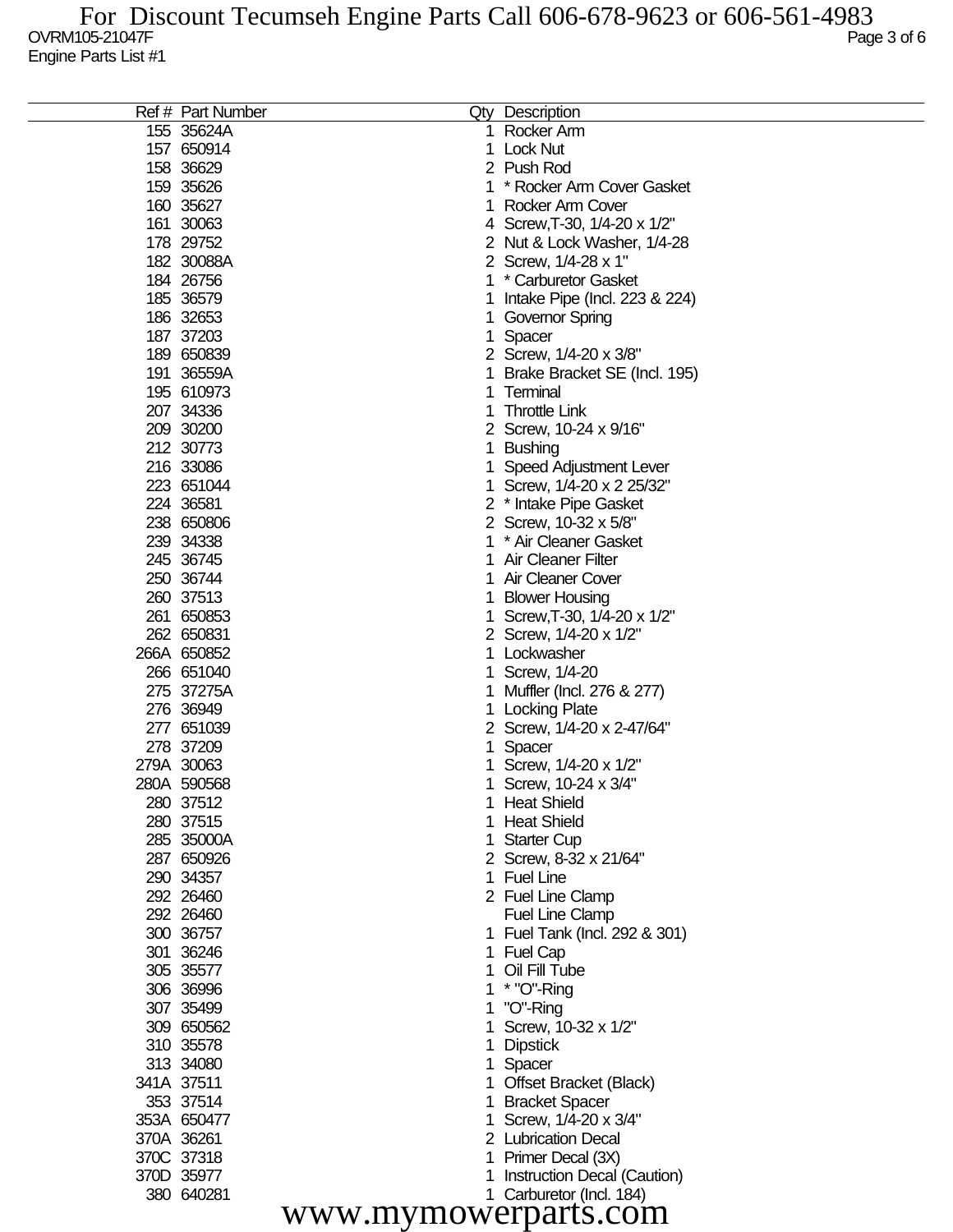|                      | Ref # Part Number |              | <b>Qty Description</b>        |  |  |  |
|----------------------|-------------------|--------------|-------------------------------|--|--|--|
|                      | 155 35624A        |              | Rocker Arm                    |  |  |  |
|                      | 157 650914        | $\mathbf{1}$ | <b>Lock Nut</b>               |  |  |  |
|                      | 158 36629         |              | 2 Push Rod                    |  |  |  |
|                      | 159 35626         |              | * Rocker Arm Cover Gasket     |  |  |  |
|                      | 160 35627         |              | Rocker Arm Cover              |  |  |  |
|                      | 161 30063         |              | 4 Screw, T-30, 1/4-20 x 1/2"  |  |  |  |
|                      | 178 29752         |              | 2 Nut & Lock Washer, 1/4-28   |  |  |  |
|                      | 182 30088A        |              | 2 Screw, 1/4-28 x 1"          |  |  |  |
|                      | 184 26756         |              | * Carburetor Gasket           |  |  |  |
|                      | 185 36579         |              | Intake Pipe (Incl. 223 & 224) |  |  |  |
|                      | 186 32653         | 1            | Governor Spring               |  |  |  |
|                      | 187 37203         | 1.           | Spacer                        |  |  |  |
|                      | 189 650839        |              | 2 Screw, 1/4-20 x 3/8"        |  |  |  |
|                      | 191 36559A        |              | Brake Bracket SE (Incl. 195)  |  |  |  |
|                      | 195 610973        |              | Terminal                      |  |  |  |
|                      | 207 34336         |              | <b>Throttle Link</b>          |  |  |  |
|                      | 209 30200         |              | 2 Screw, 10-24 x 9/16"        |  |  |  |
|                      | 212 30773         |              | 1 Bushing                     |  |  |  |
|                      | 216 33086         |              | Speed Adjustment Lever        |  |  |  |
|                      | 223 651044        |              | 1 Screw, 1/4-20 x 2 25/32"    |  |  |  |
|                      | 224 36581         |              | 2 * Intake Pipe Gasket        |  |  |  |
|                      | 238 650806        |              | 2 Screw, 10-32 x 5/8"         |  |  |  |
|                      | 239 34338         |              | * Air Cleaner Gasket          |  |  |  |
|                      | 245 36745         |              | <b>Air Cleaner Filter</b>     |  |  |  |
|                      | 250 36744         |              | Air Cleaner Cover             |  |  |  |
|                      | 260 37513         |              | <b>Blower Housing</b>         |  |  |  |
|                      | 261 650853        |              | Screw, T-30, 1/4-20 x 1/2"    |  |  |  |
|                      | 262 650831        |              | 2 Screw, 1/4-20 x 1/2"        |  |  |  |
|                      | 266A 650852       |              | 1 Lockwasher                  |  |  |  |
|                      | 266 651040        |              | 1 Screw, 1/4-20               |  |  |  |
|                      | 275 37275A        |              | 1 Muffler (Incl. 276 & 277)   |  |  |  |
|                      | 276 36949         |              | 1 Locking Plate               |  |  |  |
|                      | 277 651039        |              | 2 Screw, 1/4-20 x 2-47/64"    |  |  |  |
|                      | 278 37209         |              | Spacer                        |  |  |  |
|                      | 279A 30063        |              | 1 Screw, 1/4-20 x 1/2"        |  |  |  |
|                      | 280A 590568       |              | Screw, 10-24 x 3/4"           |  |  |  |
|                      | 280 37512         |              | 1 Heat Shield                 |  |  |  |
|                      | 280 37515         |              | <b>Heat Shield</b>            |  |  |  |
|                      | 285 35000A        |              | <b>Starter Cup</b>            |  |  |  |
|                      | 287 650926        |              | 2 Screw, 8-32 x 21/64"        |  |  |  |
|                      | 290 34357         | 1            | <b>Fuel Line</b>              |  |  |  |
|                      | 292 26460         |              | 2 Fuel Line Clamp             |  |  |  |
|                      | 292 26460         |              | <b>Fuel Line Clamp</b>        |  |  |  |
|                      | 300 36757         |              | 1 Fuel Tank (Incl. 292 & 301) |  |  |  |
|                      | 301 36246         |              | <b>Fuel Cap</b>               |  |  |  |
|                      | 305 35577         |              | Oil Fill Tube                 |  |  |  |
|                      | 306 36996         |              | $*$ "O"-Ring                  |  |  |  |
|                      | 307 35499         |              | "O"-Ring                      |  |  |  |
|                      | 309 650562        |              | Screw, 10-32 x 1/2"           |  |  |  |
|                      | 310 35578         |              | <b>Dipstick</b>               |  |  |  |
|                      | 313 34080         |              | Spacer                        |  |  |  |
|                      | 341A 37511        |              | <b>Offset Bracket (Black)</b> |  |  |  |
|                      | 353 37514         |              | <b>Bracket Spacer</b>         |  |  |  |
|                      | 353A 650477       |              | Screw, 1/4-20 x 3/4"          |  |  |  |
|                      | 370A 36261        |              | 2 Lubrication Decal           |  |  |  |
|                      | 370C 37318        |              | Primer Decal (3X)             |  |  |  |
|                      | 370D 35977        |              | Instruction Decal (Caution)   |  |  |  |
|                      | 380 640281        |              | 1 Carburetor (Incl. 184)      |  |  |  |
|                      |                   |              |                               |  |  |  |
| www.mymowerparts.com |                   |              |                               |  |  |  |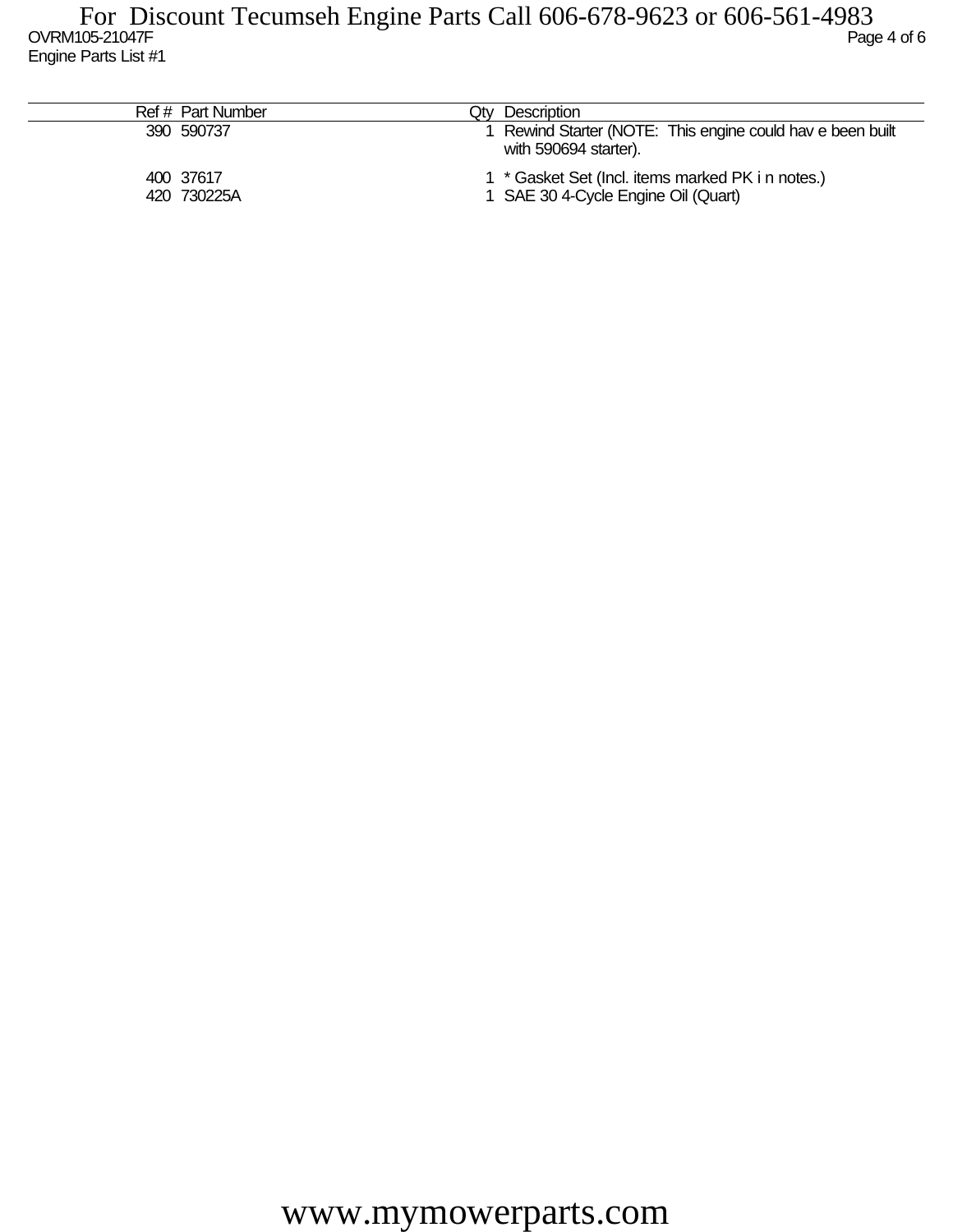| Ref # Part Number        | Qtv Description                                                                          |
|--------------------------|------------------------------------------------------------------------------------------|
| 390 590737               | 1 Rewind Starter (NOTE: This engine could hav e been built<br>with 590694 starter).      |
| 400 37617<br>420 730225A | 1 * Gasket Set (Incl. items marked PK i n notes.)<br>1 SAE 30 4-Cycle Engine Oil (Quart) |

www.mymowerparts.com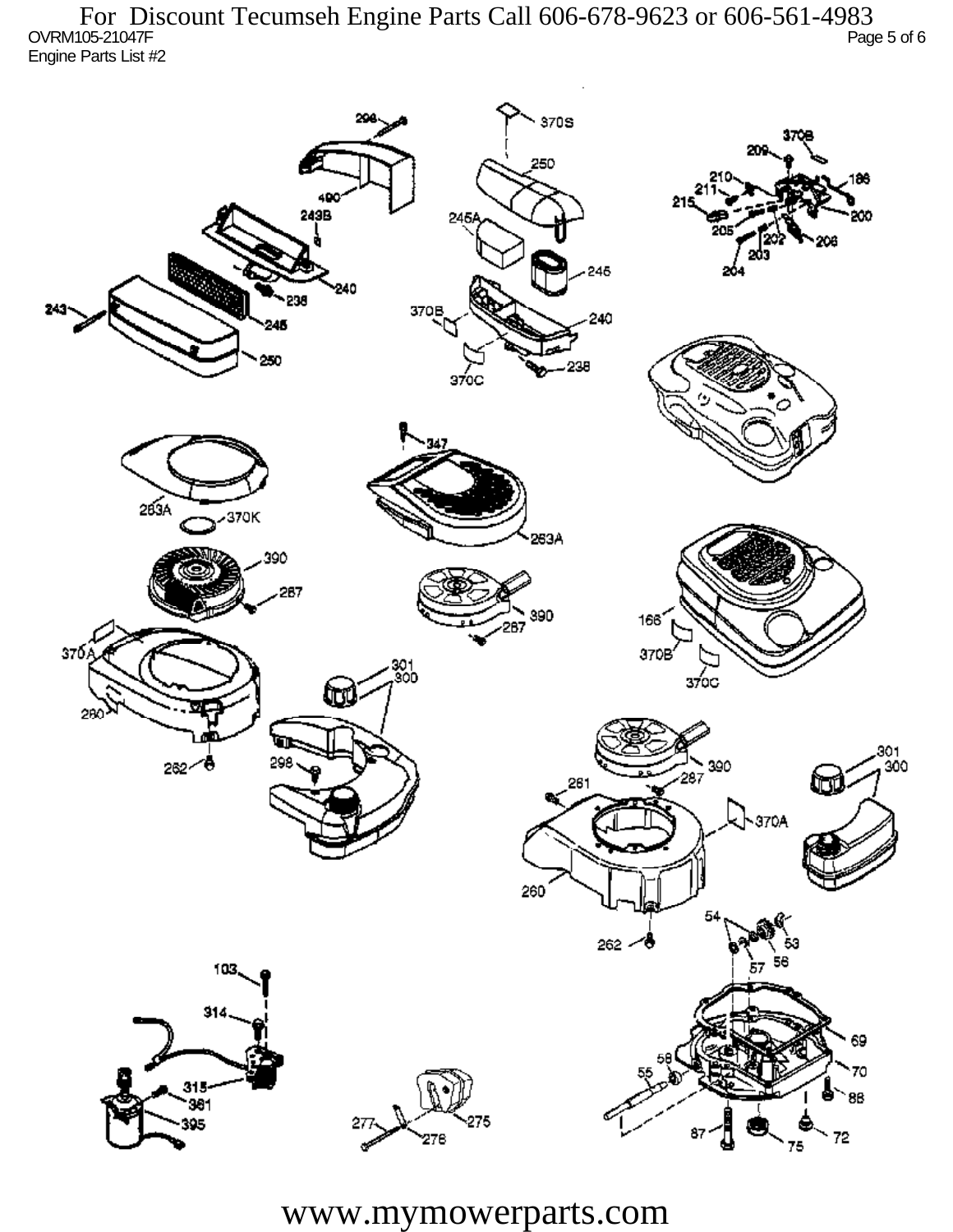OVRM105-21047F Page 5 of 6 Engine Parts List #2 For Discount Tecumseh Engine Parts Call 606-678-9623 or 606-561-4983



www.mymowerparts.com